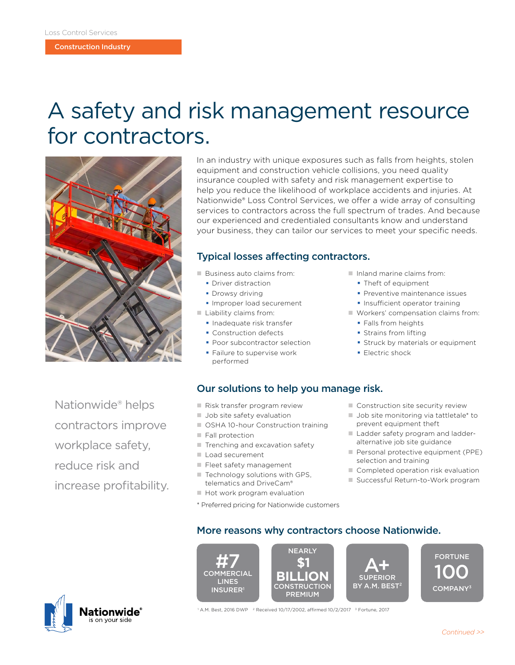# A safety and risk management resource for contractors.



In an industry with unique exposures such as falls from heights, stolen equipment and construction vehicle collisions, you need quality insurance coupled with safety and risk management expertise to help you reduce the likelihood of workplace accidents and injuries. At Nationwide® Loss Control Services, we offer a wide array of consulting services to contractors across the full spectrum of trades. And because our experienced and credentialed consultants know and understand your business, they can tailor our services to meet your specific needs.

### Typical losses affecting contractors.

Our solutions to help you manage risk.

- Business auto claims from:
	- **Driver distraction**
	- **Drowsy driving**
	- **Improper load securement**
- $\blacksquare$  Liability claims from:
	- **Inadequate risk transfer**
	- **Construction defects**
	- **Poor subcontractor selection**
	- **Failure to supervise work** performed
- $\blacksquare$  Inland marine claims from:
	- Theft of equipment
	- **Preventive maintenance issues**
	- **Insufficient operator training**
- $\blacksquare$  Workers' compensation claims from:
	- **Falls from heights**
	- **Strains from lifting**
	- **Struck by materials or equipment**
	- **Electric shock**

Nationwide® helps contractors improve workplace safety, reduce risk and increase profitability.

- Risk transfer program review
- **Job site safety evaluation**
- OSHA 10-hour Construction training
- Fall protection
- Trenching and excavation safety
- Load securement

**INSURER** 

- Fleet safety management
- $\blacksquare$  Technology solutions with GPS, telematics and DriveCam®
- Hot work program evaluation
- \* Preferred pricing for Nationwide customers
- $\blacksquare$  Construction site security review
- $\blacksquare$  Job site monitoring via tattletale\* to prevent equipment theft
- Ladder safety program and ladderalternative job site guidance
- Personal protective equipment (PPE) selection and training
- Completed operation risk evaluation
- Successful Return-to-Work program





PREMIUM